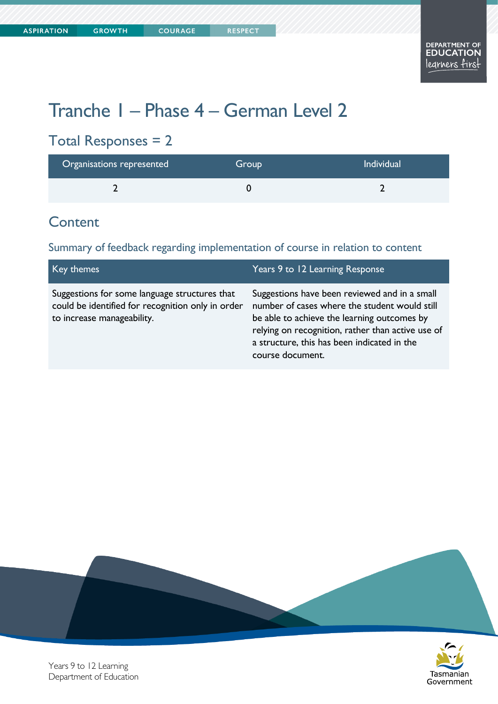Tasmanian Government

# Tranche 1 – Phase 4 – German Level 2

## Total Responses = 2

| Organisations represented | Group | <b>Individual</b> |
|---------------------------|-------|-------------------|
|                           |       |                   |

#### **Content**

Summary of feedback regarding implementation of course in relation to content

| Key themes                                                                                                                       | Years 9 to 12 Learning Response                                                                                                                                                                                                                                       |
|----------------------------------------------------------------------------------------------------------------------------------|-----------------------------------------------------------------------------------------------------------------------------------------------------------------------------------------------------------------------------------------------------------------------|
| Suggestions for some language structures that<br>could be identified for recognition only in order<br>to increase manageability. | Suggestions have been reviewed and in a small<br>number of cases where the student would still<br>be able to achieve the learning outcomes by<br>relying on recognition, rather than active use of<br>a structure, this has been indicated in the<br>course document. |



Years 9 to 12 Learning Department of Education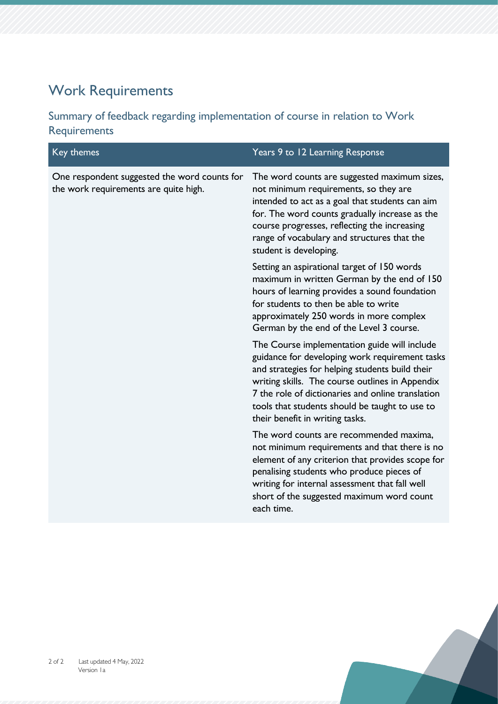# Work Requirements

Summary of feedback regarding implementation of course in relation to Work Requirements

| Key themes                                                                            | Years 9 to 12 Learning Response                                                                                                                                                                                                                                                                                                                |
|---------------------------------------------------------------------------------------|------------------------------------------------------------------------------------------------------------------------------------------------------------------------------------------------------------------------------------------------------------------------------------------------------------------------------------------------|
| One respondent suggested the word counts for<br>the work requirements are quite high. | The word counts are suggested maximum sizes,<br>not minimum requirements, so they are<br>intended to act as a goal that students can aim<br>for. The word counts gradually increase as the<br>course progresses, reflecting the increasing<br>range of vocabulary and structures that the<br>student is developing.                            |
|                                                                                       | Setting an aspirational target of 150 words<br>maximum in written German by the end of 150<br>hours of learning provides a sound foundation<br>for students to then be able to write<br>approximately 250 words in more complex<br>German by the end of the Level 3 course.                                                                    |
|                                                                                       | The Course implementation guide will include<br>guidance for developing work requirement tasks<br>and strategies for helping students build their<br>writing skills. The course outlines in Appendix<br>7 the role of dictionaries and online translation<br>tools that students should be taught to use to<br>their benefit in writing tasks. |
|                                                                                       | The word counts are recommended maxima,<br>not minimum requirements and that there is no<br>element of any criterion that provides scope for<br>penalising students who produce pieces of<br>writing for internal assessment that fall well<br>short of the suggested maximum word count<br>each time.                                         |